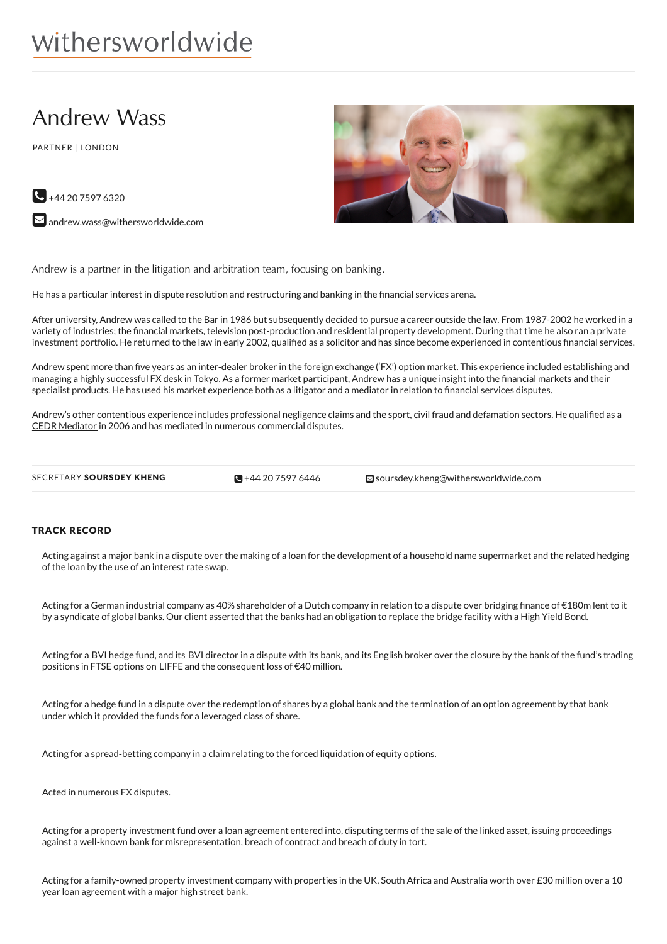# withersworldwide

## Andrew Wass

PARTNER | LONDON



 $\blacktriangleright$  [andrew.wass@withersworldwide.com](mailto:andrew.wass@withersworldwide.com?subject=Website Enquiry - Profile Page)



Andrew is a partner in the litigation and arbitration team, focusing on banking.

He has a particular interest in dispute resolution and restructuring and banking in the financial services arena.

After university, Andrew was called to the Bar in 1986 but subsequently decided to pursue a career outside the law. From 1987-2002 he worked in a variety of industries; the nancial markets, television post-production and residential property development. During that time he also ran a private investment portfolio. He returned to the law in early 2002, qualified as a solicitor and has since become experienced in contentious financial services.

Andrew spent more than five years as an inter-dealer broker in the foreign exchange ('FX') option market. This experience included establishing and managing a highly successful FX desk in Tokyo. As a former market participant, Andrew has a unique insight into the nancial markets and their specialist products. He has used his market experience both as a litigator and a mediator in relation to financial services disputes.

Andrew's other contentious experience includes professional negligence claims and the sport, civil fraud and defamation sectors. He qualified as a CEDR [Mediator](https://www.withersworldwide.com/en-gb/mediation_1) in 2006 and has mediated in numerous commercial disputes.

 $\bigotimes$  +44 20 7597 6446

SECRETARY SOURSDEY KHENG **SULLER 1999 1444 20 [7597](tel:+44 20 7597 6446) 6446** [soursdey.kheng@withersworldwide.com](mailto:soursdey.kheng@withersworldwide.com)

### TRACK RECORD

Acting against a major bank in a dispute over the making of a loan for the development of a household name supermarket and the related hedging of the loan by the use of an interest rate swap.

Acting for a German industrial company as 40% shareholder of a Dutch company in relation to a dispute over bridging finance of €180m lent to it by a syndicate of global banks. Our client asserted that the banks had an obligation to replace the bridge facility with a High Yield Bond.

Acting for a BVI hedge fund, and its BVI director in a dispute with its bank, and its English broker over the closure by the bank of the fund's trading positions in FTSE options on LIFFE and the consequent loss of €40 million.

Acting for a hedge fund in a dispute over the redemption of shares by a global bank and the termination of an option agreement by that bank under which it provided the funds for a leveraged class of share.

Acting for a spread-betting company in a claim relating to the forced liquidation of equity options.

Acted in numerous FX disputes.

Acting for a property investment fund over a loan agreement entered into, disputing terms of the sale of the linked asset, issuing proceedings against a well-known bank for misrepresentation, breach of contract and breach of duty in tort.

Acting for a family-owned property investment company with properties in the UK, South Africa and Australia worth over £30 million over a 10 year loan agreement with a major high street bank.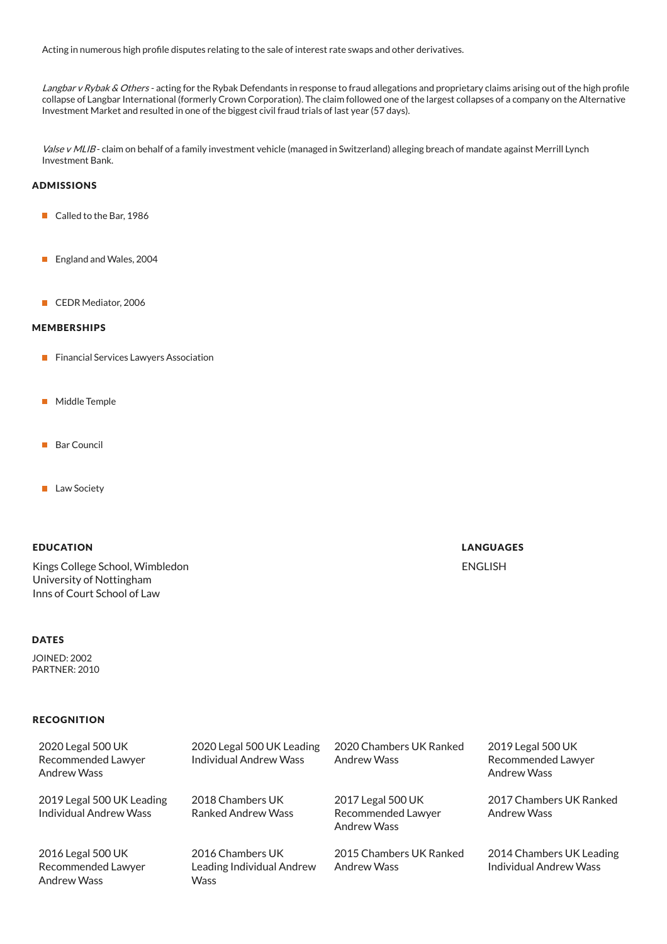Acting in numerous high profile disputes relating to the sale of interest rate swaps and other derivatives.

Langbar v Rybak & Others - acting for the Rybak Defendants in response to fraud allegations and proprietary claims arising out of the high profile collapse of Langbar International (formerly Crown Corporation). The claim followed one of the largest collapses of a company on the Alternative Investment Market and resulted in one of the biggest civil fraud trials of last year (57 days).

Valse v MLIB-claim on behalf of a family investment vehicle (managed in Switzerland) alleging breach of mandate against Merrill Lynch Investment Bank.

#### ADMISSIONS

- Called to the Bar, 1986
- England and Wales, 2004
- CEDR Mediator, 2006

#### MEMBERSHIPS

- **Financial Services Lawyers Association**
- **Middle Temple**
- **Bar Council**
- **Law Society**

#### EDUCATION

Kings College School, Wimbledon University of Nottingham Inns of Court School of Law

#### **DATES**

JOINED: 2002 PARTNER: 2010

#### **RECOGNITION**

2020 Legal 500 UK Recommended Lawyer Andrew Wass

2019 Legal 500 UK Leading Individual Andrew Wass

2016 Legal 500 UK Recommended Lawyer Andrew Wass

2020 Legal 500 UK Leading Individual Andrew Wass

2018 Chambers UK Ranked Andrew Wass

2016 Chambers UK Leading Individual Andrew **Wass** 

2020 Chambers UK Ranked Andrew Wass

2017 Legal 500 UK Recommended Lawyer Andrew Wass

2015 Chambers UK Ranked Andrew Wass

2019 Legal 500 UK Recommended Lawyer Andrew Wass

2017 Chambers UK Ranked Andrew Wass

2014 Chambers UK Leading Individual Andrew Wass

### LANGUAGES

ENGLISH